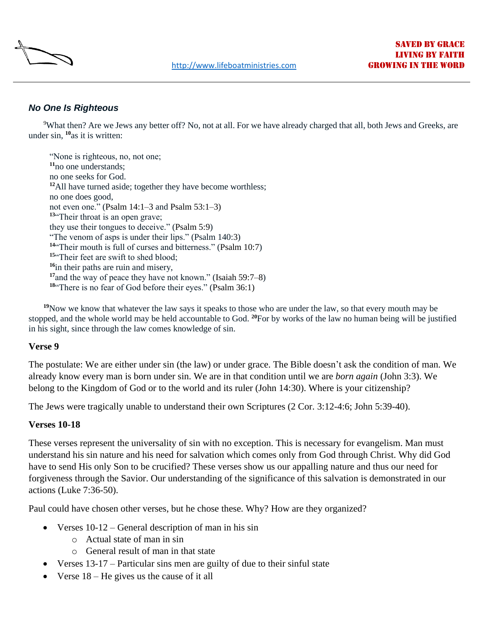

## *No One Is Righteous*

[9](http://biblehub.com/romans/3-9.htm)What then? Are we Jews any better off? No, not at all. For we have already charged that all, both Jews and Greeks, are under sin, **[10](http://biblehub.com/romans/3-10.htm)**as it is written:

"None is righteous, no, not one; **[11](http://biblehub.com/romans/3-11.htm)**no one understands; no one seeks for God. **[12](http://biblehub.com/romans/3-12.htm)**All have turned aside; together they have become worthless; no one does good, not even one." (Psalm 14:1–3 and [Psalm 53:1–3\)](https://biblehub.com/bsb/psalms/53.htm) **[13](http://biblehub.com/romans/3-13.htm)**"Their throat is an open grave; they use their tongues to deceive." [\(Psalm 5:9\)](https://biblehub.com/bsb/psalms/5.htm#9) "The venom of asps is under their lips." (Psalm 140[:3\)](https://biblehub.com/bsb/psalms/5.htm#9) **[14](http://biblehub.com/romans/3-14.htm)**"Their mouth is full of curses and bitterness." [\(Psalm 10:7\)](https://biblehub.com/bsb/psalms/10.htm#7) <sup>[15](http://biblehub.com/romans/3-15.htm)"</sup>Their feet are swift to shed blood: **[16](http://biblehub.com/romans/3-16.htm)**in their paths are ruin and misery, **[17](http://biblehub.com/romans/3-17.htm)**and the way of peace they have not known." [\(Isaiah 59:7–8\)](https://biblehub.com/bsb/isaiah/59.htm#7) **[18](http://biblehub.com/romans/3-18.htm)**"There is no fear of God before their eyes." [\(Psalm 36:1\)](https://biblehub.com/bsb/psalms/36.htm)

**[19](http://biblehub.com/romans/3-19.htm)**Now we know that whatever the law says it speaks to those who are under the law, so that every mouth may be stopped, and the whole world may be held accountable to God. **[20](http://biblehub.com/romans/3-20.htm)**For by works of the law no human being will be justified in his sight, since through the law comes knowledge of sin.

## **Verse 9**

The postulate: We are either under sin (the law) or under grace. The Bible doesn't ask the condition of man. We already know every man is born under sin. We are in that condition until we are *born again* (John 3:3). We belong to the Kingdom of God or to the world and its ruler (John 14:30). Where is your citizenship?

The Jews were tragically unable to understand their own Scriptures (2 Cor. 3:12-4:6; John 5:39-40).

## **Verses 10-18**

These verses represent the universality of sin with no exception. This is necessary for evangelism. Man must understand his sin nature and his need for salvation which comes only from God through Christ. Why did God have to send His only Son to be crucified? These verses show us our appalling nature and thus our need for forgiveness through the Savior. Our understanding of the significance of this salvation is demonstrated in our actions (Luke 7:36-50).

Paul could have chosen other verses, but he chose these. Why? How are they organized?

- Verses  $10-12$  General description of man in his sin
	- o Actual state of man in sin
	- o General result of man in that state
- Verses 13-17 Particular sins men are guilty of due to their sinful state
- Verse 18 He gives us the cause of it all